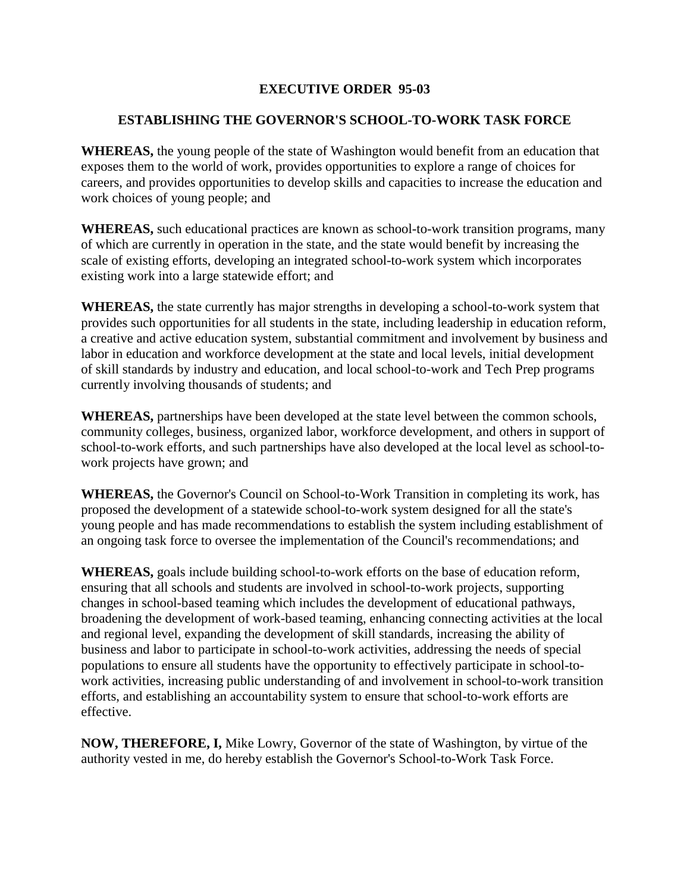## **EXECUTIVE ORDER 95-03**

## **ESTABLISHING THE GOVERNOR'S SCHOOL-TO-WORK TASK FORCE**

**WHEREAS,** the young people of the state of Washington would benefit from an education that exposes them to the world of work, provides opportunities to explore a range of choices for careers, and provides opportunities to develop skills and capacities to increase the education and work choices of young people; and

**WHEREAS,** such educational practices are known as school-to-work transition programs, many of which are currently in operation in the state, and the state would benefit by increasing the scale of existing efforts, developing an integrated school-to-work system which incorporates existing work into a large statewide effort; and

**WHEREAS,** the state currently has major strengths in developing a school-to-work system that provides such opportunities for all students in the state, including leadership in education reform, a creative and active education system, substantial commitment and involvement by business and labor in education and workforce development at the state and local levels, initial development of skill standards by industry and education, and local school-to-work and Tech Prep programs currently involving thousands of students; and

**WHEREAS,** partnerships have been developed at the state level between the common schools, community colleges, business, organized labor, workforce development, and others in support of school-to-work efforts, and such partnerships have also developed at the local level as school-towork projects have grown; and

**WHEREAS,** the Governor's Council on School-to-Work Transition in completing its work, has proposed the development of a statewide school-to-work system designed for all the state's young people and has made recommendations to establish the system including establishment of an ongoing task force to oversee the implementation of the Council's recommendations; and

**WHEREAS,** goals include building school-to-work efforts on the base of education reform, ensuring that all schools and students are involved in school-to-work projects, supporting changes in school-based teaming which includes the development of educational pathways, broadening the development of work-based teaming, enhancing connecting activities at the local and regional level, expanding the development of skill standards, increasing the ability of business and labor to participate in school-to-work activities, addressing the needs of special populations to ensure all students have the opportunity to effectively participate in school-towork activities, increasing public understanding of and involvement in school-to-work transition efforts, and establishing an accountability system to ensure that school-to-work efforts are effective.

**NOW, THEREFORE, I,** Mike Lowry, Governor of the state of Washington, by virtue of the authority vested in me, do hereby establish the Governor's School-to-Work Task Force.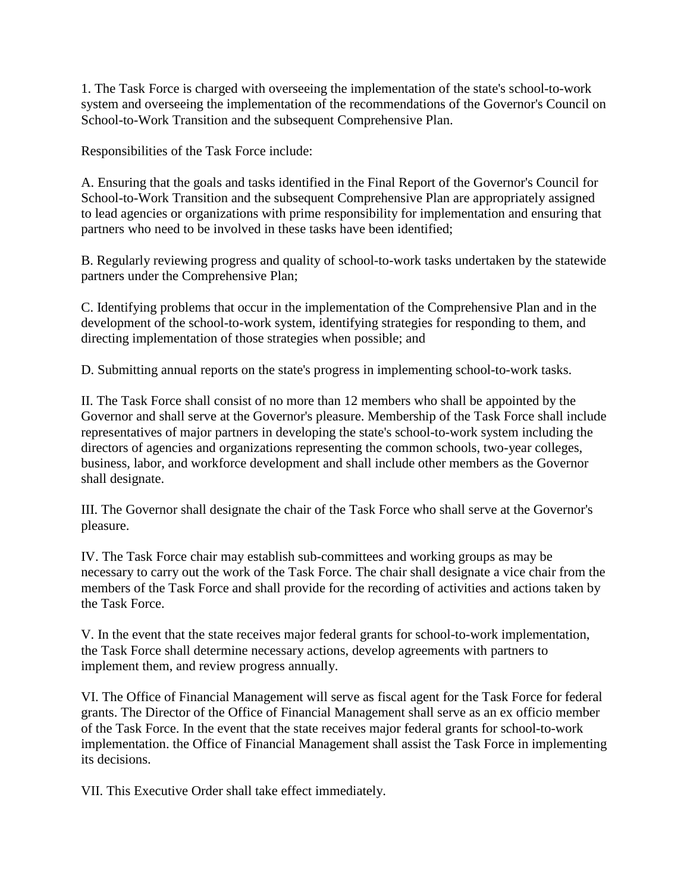1. The Task Force is charged with overseeing the implementation of the state's school-to-work system and overseeing the implementation of the recommendations of the Governor's Council on School-to-Work Transition and the subsequent Comprehensive Plan.

Responsibilities of the Task Force include:

A. Ensuring that the goals and tasks identified in the Final Report of the Governor's Council for School-to-Work Transition and the subsequent Comprehensive Plan are appropriately assigned to lead agencies or organizations with prime responsibility for implementation and ensuring that partners who need to be involved in these tasks have been identified;

B. Regularly reviewing progress and quality of school-to-work tasks undertaken by the statewide partners under the Comprehensive Plan;

C. Identifying problems that occur in the implementation of the Comprehensive Plan and in the development of the school-to-work system, identifying strategies for responding to them, and directing implementation of those strategies when possible; and

D. Submitting annual reports on the state's progress in implementing school-to-work tasks.

II. The Task Force shall consist of no more than 12 members who shall be appointed by the Governor and shall serve at the Governor's pleasure. Membership of the Task Force shall include representatives of major partners in developing the state's school-to-work system including the directors of agencies and organizations representing the common schools, two-year colleges, business, labor, and workforce development and shall include other members as the Governor shall designate.

III. The Governor shall designate the chair of the Task Force who shall serve at the Governor's pleasure.

IV. The Task Force chair may establish sub-committees and working groups as may be necessary to carry out the work of the Task Force. The chair shall designate a vice chair from the members of the Task Force and shall provide for the recording of activities and actions taken by the Task Force.

V. In the event that the state receives major federal grants for school-to-work implementation, the Task Force shall determine necessary actions, develop agreements with partners to implement them, and review progress annually.

VI. The Office of Financial Management will serve as fiscal agent for the Task Force for federal grants. The Director of the Office of Financial Management shall serve as an ex officio member of the Task Force. In the event that the state receives major federal grants for school-to-work implementation. the Office of Financial Management shall assist the Task Force in implementing its decisions.

VII. This Executive Order shall take effect immediately.